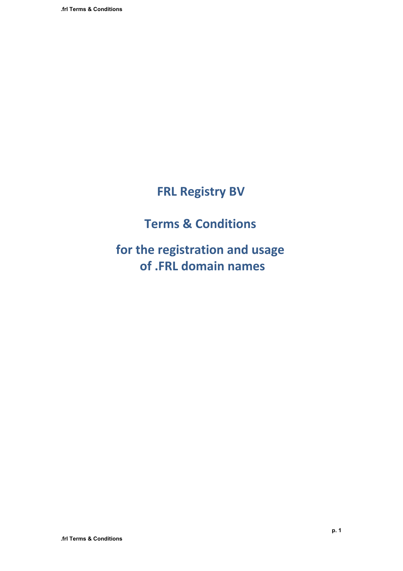# **FRL Registry BV**

# **Terms & Conditions**

**for the registration and usage of .FRL domain names**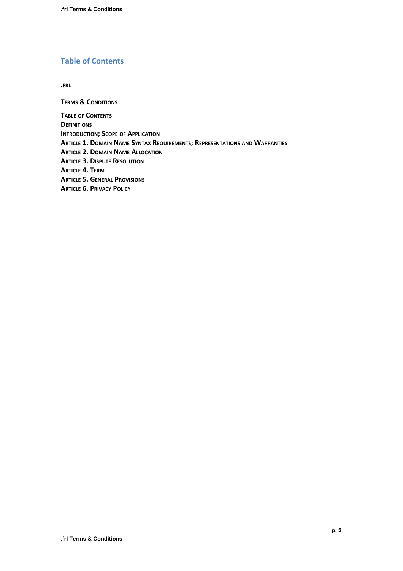## **Table of Contents**

**.FRL**

**TERMS & CONDITIONS TABLE OF CONTENTS DEFINITIONS INTRODUCTION; SCOPE OF APPLICATION ARTICLE 1. DOMAIN NAME SYNTAX REQUIREMENTS; REPRESENTATIONS AND WARRANTIES ARTICLE 2. DOMAIN NAME ALLOCATION ARTICLE 3. DISPUTE RESOLUTION ARTICLE 4. TERM ARTICLE 5. GENERAL PROVISIONS ARTICLE 6. PRIVACY POLICY**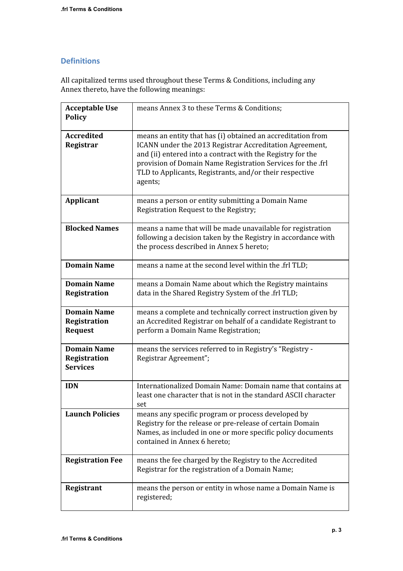## **Definitions**

All capitalized terms used throughout these Terms & Conditions, including any Annex thereto, have the following meanings:

| <b>Acceptable Use</b><br><b>Policy</b>                | means Annex 3 to these Terms & Conditions;                                                                                                                                                                                                                                                                                |
|-------------------------------------------------------|---------------------------------------------------------------------------------------------------------------------------------------------------------------------------------------------------------------------------------------------------------------------------------------------------------------------------|
| <b>Accredited</b><br>Registrar                        | means an entity that has (i) obtained an accreditation from<br>ICANN under the 2013 Registrar Accreditation Agreement,<br>and (ii) entered into a contract with the Registry for the<br>provision of Domain Name Registration Services for the .frl<br>TLD to Applicants, Registrants, and/or their respective<br>agents; |
| Applicant                                             | means a person or entity submitting a Domain Name<br>Registration Request to the Registry;                                                                                                                                                                                                                                |
| <b>Blocked Names</b>                                  | means a name that will be made unavailable for registration<br>following a decision taken by the Registry in accordance with<br>the process described in Annex 5 hereto;                                                                                                                                                  |
| <b>Domain Name</b>                                    | means a name at the second level within the .frl TLD;                                                                                                                                                                                                                                                                     |
| <b>Domain Name</b><br>Registration                    | means a Domain Name about which the Registry maintains<br>data in the Shared Registry System of the .frl TLD;                                                                                                                                                                                                             |
| <b>Domain Name</b><br>Registration<br><b>Request</b>  | means a complete and technically correct instruction given by<br>an Accredited Registrar on behalf of a candidate Registrant to<br>perform a Domain Name Registration;                                                                                                                                                    |
| <b>Domain Name</b><br>Registration<br><b>Services</b> | means the services referred to in Registry's "Registry -<br>Registrar Agreement";                                                                                                                                                                                                                                         |
| <b>IDN</b>                                            | Internationalized Domain Name: Domain name that contains at<br>least one character that is not in the standard ASCII character<br>set                                                                                                                                                                                     |
| <b>Launch Policies</b>                                | means any specific program or process developed by<br>Registry for the release or pre-release of certain Domain<br>Names, as included in one or more specific policy documents<br>contained in Annex 6 hereto;                                                                                                            |
| <b>Registration Fee</b>                               | means the fee charged by the Registry to the Accredited<br>Registrar for the registration of a Domain Name;                                                                                                                                                                                                               |
| Registrant                                            | means the person or entity in whose name a Domain Name is<br>registered;                                                                                                                                                                                                                                                  |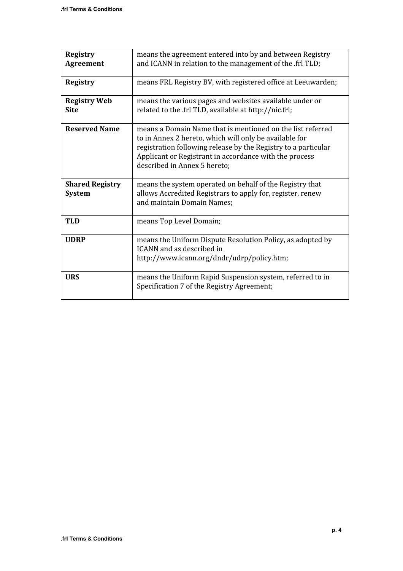| <b>Registry</b><br><b>Agreement</b>     | means the agreement entered into by and between Registry<br>and ICANN in relation to the management of the .frl TLD;                                                                                                                                                             |
|-----------------------------------------|----------------------------------------------------------------------------------------------------------------------------------------------------------------------------------------------------------------------------------------------------------------------------------|
| <b>Registry</b>                         | means FRL Registry BV, with registered office at Leeuwarden;                                                                                                                                                                                                                     |
| <b>Registry Web</b><br><b>Site</b>      | means the various pages and websites available under or<br>related to the .frl TLD, available at http://nic.frl;                                                                                                                                                                 |
| <b>Reserved Name</b>                    | means a Domain Name that is mentioned on the list referred<br>to in Annex 2 hereto, which will only be available for<br>registration following release by the Registry to a particular<br>Applicant or Registrant in accordance with the process<br>described in Annex 5 hereto; |
| <b>Shared Registry</b><br><b>System</b> | means the system operated on behalf of the Registry that<br>allows Accredited Registrars to apply for, register, renew<br>and maintain Domain Names;                                                                                                                             |
| <b>TLD</b>                              | means Top Level Domain;                                                                                                                                                                                                                                                          |
| <b>UDRP</b>                             | means the Uniform Dispute Resolution Policy, as adopted by<br>ICANN and as described in<br>http://www.icann.org/dndr/udrp/policy.htm;                                                                                                                                            |
| <b>URS</b>                              | means the Uniform Rapid Suspension system, referred to in<br>Specification 7 of the Registry Agreement;                                                                                                                                                                          |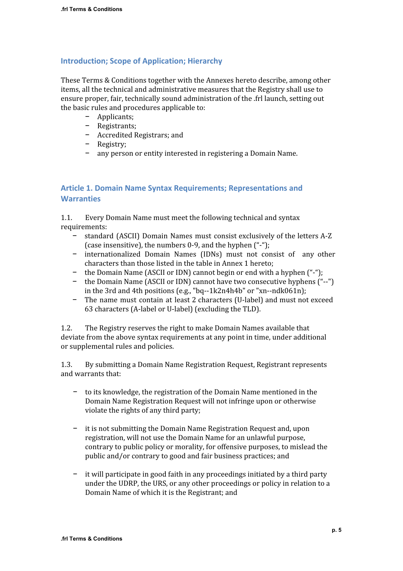#### **Introduction; Scope of Application; Hierarchy**

These Terms & Conditions together with the Annexes hereto describe, among other items, all the technical and administrative measures that the Registry shall use to ensure proper, fair, technically sound administration of the .frl launch, setting out the basic rules and procedures applicable to:

- − Applicants;
- − Registrants;
- − Accredited Registrars; and
- − Registry;
- − any person or entity interested in registering a Domain Name.

## **Article 1. Domain Name Syntax Requirements; Representations and Warranties**

1.1. Every Domain Name must meet the following technical and syntax requirements:

- − standard (ASCII) Domain Names must consist exclusively of the letters A-Z (case insensitive), the numbers 0-9, and the hyphen ("-");
- − internationalized Domain Names (IDNs) must not consist of any other characters than those listed in the table in Annex 1 hereto;
- − the Domain Name (ASCII or IDN) cannot begin or end with a hyphen ("-");
- − the Domain Name (ASCII or IDN) cannot have two consecutive hyphens ("--") in the 3rd and 4th positions (e.g., "bq--1k2n4h4b" or "xn--ndk061n);
- − The name must contain at least 2 characters (U-label) and must not exceed 63 characters (A-label or U-label) (excluding the TLD).

1.2. The Registry reserves the right to make Domain Names available that deviate from the above syntax requirements at any point in time, under additional or supplemental rules and policies.

1.3. By submitting a Domain Name Registration Request, Registrant represents and warrants that:

- to its knowledge, the registration of the Domain Name mentioned in the Domain Name Registration Request will not infringe upon or otherwise violate the rights of any third party;
- − it is not submitting the Domain Name Registration Request and, upon registration, will not use the Domain Name for an unlawful purpose, contrary to public policy or morality, for offensive purposes, to mislead the public and/or contrary to good and fair business practices; and
- − it will participate in good faith in any proceedings initiated by a third party under the UDRP, the URS, or any other proceedings or policy in relation to a Domain Name of which it is the Registrant; and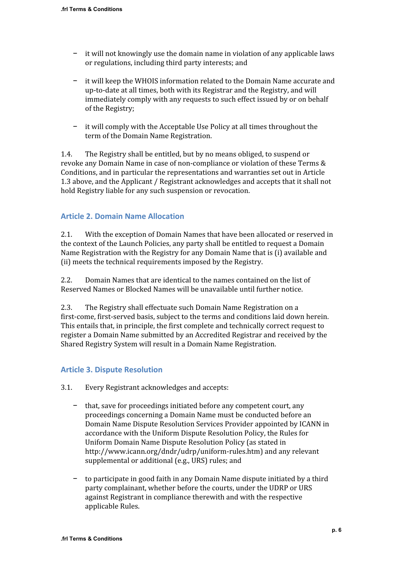- − it will not knowingly use the domain name in violation of any applicable laws or regulations, including third party interests; and
- − it will keep the WHOIS information related to the Domain Name accurate and up-to-date at all times, both with its Registrar and the Registry, and will immediately comply with any requests to such effect issued by or on behalf of the Registry;
- − it will comply with the Acceptable Use Policy at all times throughout the term of the Domain Name Registration.

1.4. The Registry shall be entitled, but by no means obliged, to suspend or revoke any Domain Name in case of non-compliance or violation of these Terms & Conditions, and in particular the representations and warranties set out in Article 1.3 above, and the Applicant / Registrant acknowledges and accepts that it shall not hold Registry liable for any such suspension or revocation.

### **Article 2. Domain Name Allocation**

2.1. With the exception of Domain Names that have been allocated or reserved in the context of the Launch Policies, any party shall be entitled to request a Domain Name Registration with the Registry for any Domain Name that is (i) available and (ii) meets the technical requirements imposed by the Registry.

2.2. Domain Names that are identical to the names contained on the list of Reserved Names or Blocked Names will be unavailable until further notice.

2.3. The Registry shall effectuate such Domain Name Registration on a first-come, first-served basis, subject to the terms and conditions laid down herein. This entails that, in principle, the first complete and technically correct request to register a Domain Name submitted by an Accredited Registrar and received by the Shared Registry System will result in a Domain Name Registration.

#### **Article 3. Dispute Resolution**

- 3.1. Every Registrant acknowledges and accepts:
	- − that, save for proceedings initiated before any competent court, any proceedings concerning a Domain Name must be conducted before an Domain Name Dispute Resolution Services Provider appointed by ICANN in accordance with the Uniform Dispute Resolution Policy, the Rules for Uniform Domain Name Dispute Resolution Policy (as stated in [http://www.icann.org/dndr/udrp/uniform-rules.htm\)](http://www.google.com/url?q=http%3A%2F%2Fwww.icann.org%2Fdndr%2Fudrp%2Funiform-rules.htm&sa=D&sntz=1&usg=AFQjCNEFOgPvNs1GYdg3fB7AtNcplZ9RPw) and any relevant supplemental or additional (e.g., URS) rules; and
	- − to participate in good faith in any Domain Name dispute initiated by a third party complainant, whether before the courts, under the UDRP or URS against Registrant in compliance therewith and with the respective applicable Rules.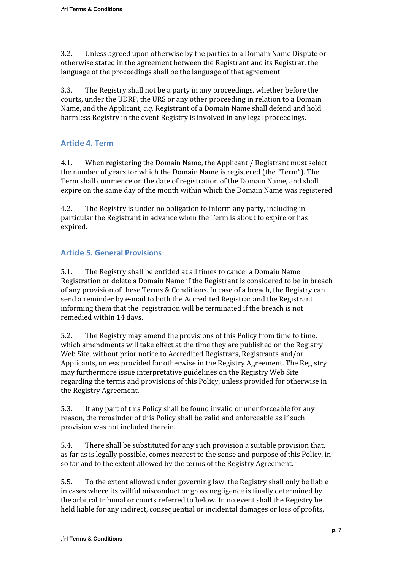3.2. Unless agreed upon otherwise by the parties to a Domain Name Dispute or otherwise stated in the agreement between the Registrant and its Registrar, the language of the proceedings shall be the language of that agreement.

3.3. The Registry shall not be a party in any proceedings, whether before the courts, under the UDRP, the URS or any other proceeding in relation to a Domain Name, and the Applicant, *c.q.* Registrant of a Domain Name shall defend and hold harmless Registry in the event Registry is involved in any legal proceedings.

## **Article 4. Term**

4.1. When registering the Domain Name, the Applicant / Registrant must select the number of years for which the Domain Name is registered (the "Term"). The Term shall commence on the date of registration of the Domain Name, and shall expire on the same day of the month within which the Domain Name was registered.

4.2. The Registry is under no obligation to inform any party, including in particular the Registrant in advance when the Term is about to expire or has expired.

## **Article 5. General Provisions**

5.1. The Registry shall be entitled at all times to cancel a Domain Name Registration or delete a Domain Name if the Registrant is considered to be in breach of any provision of these Terms & Conditions. In case of a breach, the Registry can send a reminder by e-mail to both the Accredited Registrar and the Registrant informing them that the registration will be terminated if the breach is not remedied within 14 days.

5.2. The Registry may amend the provisions of this Policy from time to time, which amendments will take effect at the time they are published on the Registry Web Site, without prior notice to Accredited Registrars, Registrants and/or Applicants, unless provided for otherwise in the Registry Agreement. The Registry may furthermore issue interpretative guidelines on the Registry Web Site regarding the terms and provisions of this Policy, unless provided for otherwise in the Registry Agreement.

5.3. If any part of this Policy shall be found invalid or unenforceable for any reason, the remainder of this Policy shall be valid and enforceable as if such provision was not included therein.

5.4. There shall be substituted for any such provision a suitable provision that, as far as is legally possible, comes nearest to the sense and purpose of this Policy, in so far and to the extent allowed by the terms of the Registry Agreement.

5.5. To the extent allowed under governing law, the Registry shall only be liable in cases where its willful misconduct or gross negligence is finally determined by the arbitral tribunal or courts referred to below. In no event shall the Registry be held liable for any indirect, consequential or incidental damages or loss of profits,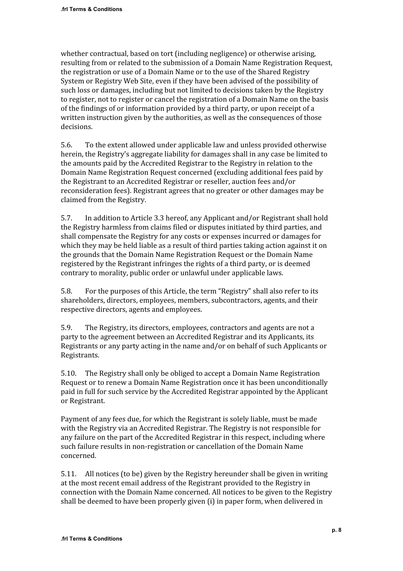whether contractual, based on tort (including negligence) or otherwise arising, resulting from or related to the submission of a Domain Name Registration Request, the registration or use of a Domain Name or to the use of the Shared Registry System or Registry Web Site, even if they have been advised of the possibility of such loss or damages, including but not limited to decisions taken by the Registry to register, not to register or cancel the registration of a Domain Name on the basis of the findings of or information provided by a third party, or upon receipt of a written instruction given by the authorities, as well as the consequences of those decisions.

5.6. To the extent allowed under applicable law and unless provided otherwise herein, the Registry's aggregate liability for damages shall in any case be limited to the amounts paid by the Accredited Registrar to the Registry in relation to the Domain Name Registration Request concerned (excluding additional fees paid by the Registrant to an Accredited Registrar or reseller, auction fees and/or reconsideration fees). Registrant agrees that no greater or other damages may be claimed from the Registry.

5.7. In addition to Article 3.3 hereof, any Applicant and/or Registrant shall hold the Registry harmless from claims filed or disputes initiated by third parties, and shall compensate the Registry for any costs or expenses incurred or damages for which they may be held liable as a result of third parties taking action against it on the grounds that the Domain Name Registration Request or the Domain Name registered by the Registrant infringes the rights of a third party, or is deemed contrary to morality, public order or unlawful under applicable laws.

5.8. For the purposes of this Article, the term "Registry" shall also refer to its shareholders, directors, employees, members, subcontractors, agents, and their respective directors, agents and employees.

5.9. The Registry, its directors, employees, contractors and agents are not a party to the agreement between an Accredited Registrar and its Applicants, its Registrants or any party acting in the name and/or on behalf of such Applicants or Registrants.

5.10. The Registry shall only be obliged to accept a Domain Name Registration Request or to renew a Domain Name Registration once it has been unconditionally paid in full for such service by the Accredited Registrar appointed by the Applicant or Registrant.

Payment of any fees due, for which the Registrant is solely liable, must be made with the Registry via an Accredited Registrar. The Registry is not responsible for any failure on the part of the Accredited Registrar in this respect, including where such failure results in non-registration or cancellation of the Domain Name concerned.

5.11. All notices (to be) given by the Registry hereunder shall be given in writing at the most recent email address of the Registrant provided to the Registry in connection with the Domain Name concerned. All notices to be given to the Registry shall be deemed to have been properly given (i) in paper form, when delivered in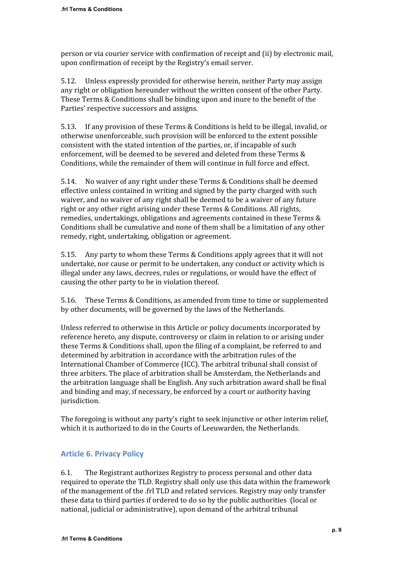person or via courier service with confirmation of receipt and (ii) by electronic mail, upon confirmation of receipt by the Registry's email server.

5.12. Unless expressly provided for otherwise herein, neither Party may assign any right or obligation hereunder without the written consent of the other Party. These Terms & Conditions shall be binding upon and inure to the benefit of the Parties' respective successors and assigns.

5.13. If any provision of these Terms & Conditions is held to be illegal, invalid, or otherwise unenforceable, such provision will be enforced to the extent possible consistent with the stated intention of the parties, or, if incapable of such enforcement, will be deemed to be severed and deleted from these Terms & Conditions, while the remainder of them will continue in full force and effect.

5.14. No waiver of any right under these Terms & Conditions shall be deemed effective unless contained in writing and signed by the party charged with such waiver, and no waiver of any right shall be deemed to be a waiver of any future right or any other right arising under these Terms & Conditions. All rights, remedies, undertakings, obligations and agreements contained in these Terms & Conditions shall be cumulative and none of them shall be a limitation of any other remedy, right, undertaking, obligation or agreement.

5.15. Any party to whom these Terms & Conditions apply agrees that it will not undertake, nor cause or permit to be undertaken, any conduct or activity which is illegal under any laws, decrees, rules or regulations, or would have the effect of causing the other party to be in violation thereof.

5.16. These Terms & Conditions, as amended from time to time or supplemented by other documents, will be governed by the laws of the Netherlands.

Unless referred to otherwise in this Article or policy documents incorporated by reference hereto, any dispute, controversy or claim in relation to or arising under these Terms & Conditions shall, upon the filing of a complaint, be referred to and determined by arbitration in accordance with the arbitration rules of the International Chamber of Commerce (ICC). The arbitral tribunal shall consist of three arbiters. The place of arbitration shall be Amsterdam, the Netherlands and the arbitration language shall be English. Any such arbitration award shall be final and binding and may, if necessary, be enforced by a court or authority having jurisdiction.

The foregoing is without any party's right to seek injunctive or other interim relief, which it is authorized to do in the Courts of Leeuwarden, the Netherlands.

# **Article 6. Privacy Policy**

6.1. The Registrant authorizes Registry to process personal and other data required to operate the TLD. Registry shall only use this data within the framework of the management of the .frl TLD and related services. Registry may only transfer these data to third parties if ordered to do so by the public authorities (local or national, judicial or administrative), upon demand of the arbitral tribunal